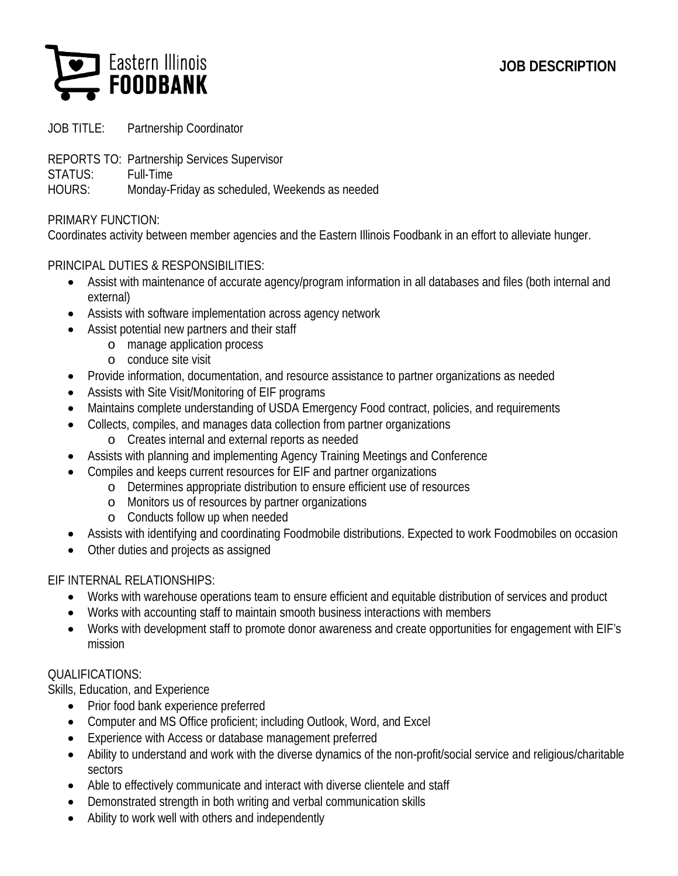# **JOB DESCRIPTION**



JOB TITLE: Partnership Coordinator

- REPORTS TO: Partnership Services Supervisor
- STATUS: Full-Time

HOURS: Monday-Friday as scheduled, Weekends as needed

### PRIMARY FUNCTION:

Coordinates activity between member agencies and the Eastern Illinois Foodbank in an effort to alleviate hunger.

### PRINCIPAL DUTIES & RESPONSIBILITIES:

- Assist with maintenance of accurate agency/program information in all databases and files (both internal and external)
- Assists with software implementation across agency network
- Assist potential new partners and their staff
	- o manage application process
	- o conduce site visit
- Provide information, documentation, and resource assistance to partner organizations as needed
- Assists with Site Visit/Monitoring of EIF programs
- Maintains complete understanding of USDA Emergency Food contract, policies, and requirements
- Collects, compiles, and manages data collection from partner organizations
	- o Creates internal and external reports as needed
- Assists with planning and implementing Agency Training Meetings and Conference
- Compiles and keeps current resources for EIF and partner organizations
	- o Determines appropriate distribution to ensure efficient use of resources
	- o Monitors us of resources by partner organizations
	- o Conducts follow up when needed
- Assists with identifying and coordinating Foodmobile distributions. Expected to work Foodmobiles on occasion
- Other duties and projects as assigned

## EIF INTERNAL RELATIONSHIPS:

- Works with warehouse operations team to ensure efficient and equitable distribution of services and product
- Works with accounting staff to maintain smooth business interactions with members
- Works with development staff to promote donor awareness and create opportunities for engagement with EIF's mission

## QUALIFICATIONS:

Skills, Education, and Experience

- Prior food bank experience preferred
- Computer and MS Office proficient; including Outlook, Word, and Excel
- Experience with Access or database management preferred
- Ability to understand and work with the diverse dynamics of the non-profit/social service and religious/charitable sectors
- Able to effectively communicate and interact with diverse clientele and staff
- Demonstrated strength in both writing and verbal communication skills
- Ability to work well with others and independently